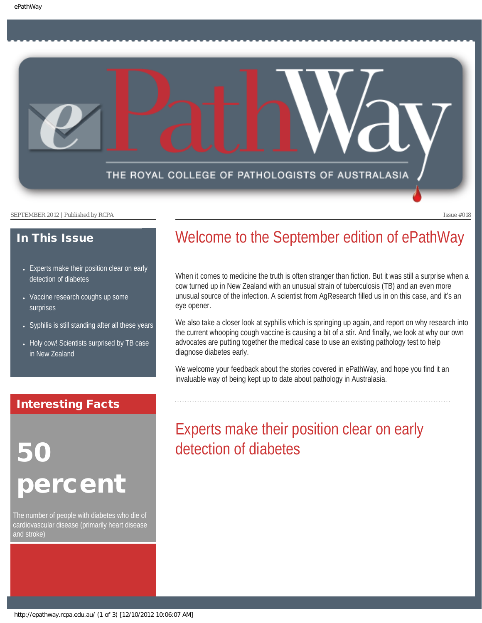

#### SEPTEMBER 2012 | Published by RCPA Issue #018

### In This Issue

- Experts make their position clear on early [detection of diabetes](#page-0-0)
- [Vaccine research coughs up some](#page-1-0) [surprises](#page-1-0)
- [Syphilis is still standing after all these years](#page-1-1)
- [Holy cow! Scientists surprised by TB case](#page-2-0) [in New Zealand](#page-2-0)

## <span id="page-0-0"></span>Interesting Facts

# 50 **ercent**

The number of people with diabetes who die of cardiovascular disease (primarily heart disease and stroke)

## Welcome to the September edition of ePathWay

When it comes to medicine the truth is often stranger than fiction. But it was still a surprise when a cow turned up in New Zealand with an unusual strain of tuberculosis (TB) and an even more unusual source of the infection. A scientist from AgResearch filled us in on this case, and it's an eye opener.

We also take a closer look at syphilis which is springing up again, and report on why research into the current whooping cough vaccine is causing a bit of a stir. And finally, we look at why our own advocates are putting together the medical case to use an existing pathology test to help diagnose diabetes early.

We welcome your feedback about the stories covered in ePathWay, and hope you find it an invaluable way of being kept up to date about pathology in Australasia.

## Experts make their position clear on early detection of diabetes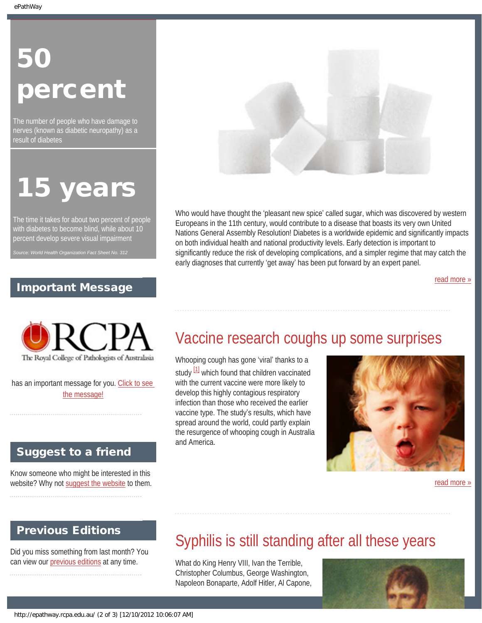# 50 percent

The number of people who have damage to nerves (known as diabetic neuropathy) as a result of diabetes

# 15 years

The time it takes for about two percent of people with diabetes to become blind, while about 10 percent develop severe visual impairment

## Important Message

<span id="page-1-0"></span>

has an important message for you. [Click to see](http://epathway.rcpa.edu.au/notice.html) [the message!](http://epathway.rcpa.edu.au/notice.html)

## Suggest to a friend

Know someone who might be interested in this website? Why not [suggest the website](mailto:?Subject=I%20think%20you%20should%20read%20this%20Newsletter=
http://epathway.rcpa.edu.au/index.html) to them.

## <span id="page-1-1"></span>Previous Editions

Did you miss something from last month? You can view our [previous editions](http://epathway.rcpa.edu.au/previous.html) at any time.



Who would have thought the 'pleasant new spice' called sugar, which was discovered by western Europeans in the 11th century, would contribute to a disease that boasts its very own United Nations General Assembly Resolution! Diabetes is a worldwide epidemic and significantly impacts on both individual health and national productivity levels. Early detection is important to significantly reduce the risk of developing complications, and a simpler regime that may catch the early diagnoses that currently 'get away' has been put forward by an expert panel.

[read more »](#page-3-0)

# Vaccine research coughs up some surprises

Whooping cough has gone 'viral' thanks to a study  $\frac{11}{11}$  which found that children vaccinated with the current vaccine were more likely to develop this highly contagious respiratory infection than those who received the earlier vaccine type. The study's results, which have spread around the world, could partly explain the resurgence of whooping cough in Australia and America.



[read more »](#page-5-0)

# Syphilis is still standing after all these years

What do King Henry VIII, Ivan the Terrible, Christopher Columbus, George Washington, Napoleon Bonaparte, Adolf Hitler, Al Capone,

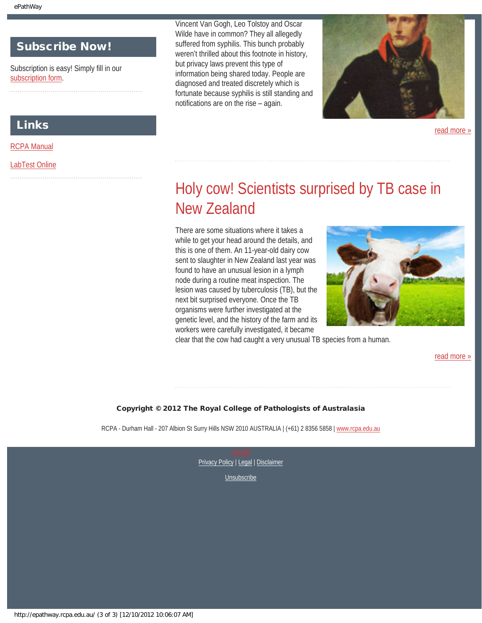## Subscribe Now!

Subscription is easy! Simply fill in our [subscription form.](http://epathway.rcpa.edu.au/subscription.html)

### Links

[RCPA Manual](http://rcpamanual.edu.au/)

### <span id="page-2-0"></span>[LabTest Online](http://www.labtestsonline.org.au/)

Vincent Van Gogh, Leo Tolstoy and Oscar Wilde have in common? They all allegedly suffered from syphilis. This bunch probably weren't thrilled about this footnote in history, but privacy laws prevent this type of information being shared today. People are diagnosed and treated discretely which is fortunate because syphilis is still standing and notifications are on the rise – again.



[read more »](#page-7-0)

# Holy cow! Scientists surprised by TB case in New Zealand

There are some situations where it takes a while to get your head around the details, and this is one of them. An 11-year-old dairy cow sent to slaughter in New Zealand last year was found to have an unusual lesion in a lymph node during a routine meat inspection. The lesion was caused by tuberculosis (TB), but the next bit surprised everyone. Once the TB organisms were further investigated at the genetic level, and the history of the farm and its workers were carefully investigated, it became



clear that the cow had caught a very unusual TB species from a human.

[read more »](#page-9-0)

#### Copyright © 2012 The Royal College of Pathologists of Australasia

RCPA - Durham Hall - 207 Albion St Surry Hills NSW 2010 AUSTRALIA | (+61) 2 8356 5858 | [www.rcpa.edu.au](http://www.rcpa.edu.au/)

[Privacy Policy](http://www.rcpa.edu.au/Privacy.htm) | [Legal](http://www.rcpa.edu.au/Legal.htm) | Disclaimer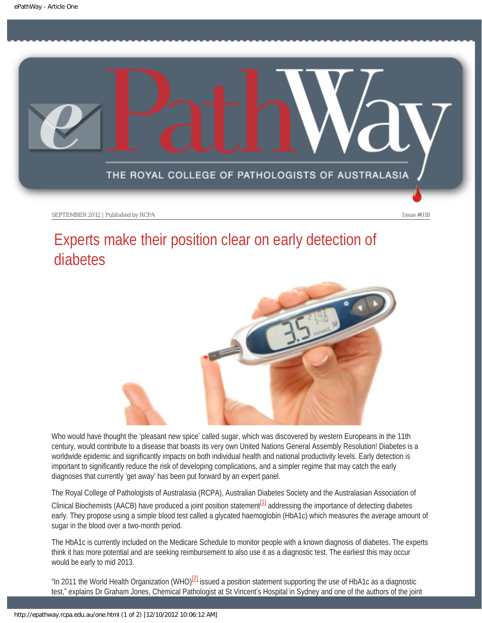<span id="page-3-0"></span>

SEPTEMBER 2012 | Published by RCPA **Issue #018** Issue #018

# Experts make their position clear on early detection of diabetes



Who would have thought the 'pleasant new spice' called sugar, which was discovered by western Europeans in the 11th century, would contribute to a disease that boasts its very own United Nations General Assembly Resolution! Diabetes is a worldwide epidemic and significantly impacts on both individual health and national productivity levels. Early detection is important to significantly reduce the risk of developing complications, and a simpler regime that may catch the early diagnoses that currently 'get away' has been put forward by an expert panel.

The Royal College of Pathologists of Australasia (RCPA), Australian Diabetes Society and the Australasian Association of

Clinical Biochemists (AACB) have produced a joint position statement<sup>[1]</sup> addressing the importance of detecting diabetes early. They propose using a simple blood test called a glycated haemoglobin (HbA1c) which measures the average amount of sugar in the blood over a two-month period.

The HbA1c is currently included on the Medicare Schedule to monitor people with a known diagnosis of diabetes. The experts think it has more potential and are seeking reimbursement to also use it as a diagnostic test. The earliest this may occur would be early to mid 2013.

"In 2011 the World Health Organization (WHO)<sup>[2]</sup> issued a position statement supporting the use of HbA1c as a diagnostic test," explains Dr Graham Jones, Chemical Pathologist at St Vincent's Hospital in Sydney and one of the authors of the joint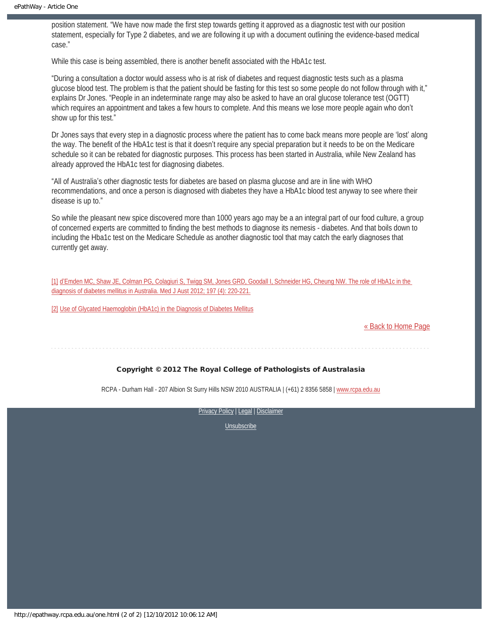position statement. "We have now made the first step towards getting it approved as a diagnostic test with our position statement, especially for Type 2 diabetes, and we are following it up with a document outlining the evidence-based medical case."

While this case is being assembled, there is another benefit associated with the HbA1c test.

"During a consultation a doctor would assess who is at risk of diabetes and request diagnostic tests such as a plasma glucose blood test. The problem is that the patient should be fasting for this test so some people do not follow through with it," explains Dr Jones. "People in an indeterminate range may also be asked to have an oral glucose tolerance test (OGTT) which requires an appointment and takes a few hours to complete. And this means we lose more people again who don't show up for this test."

Dr Jones says that every step in a diagnostic process where the patient has to come back means more people are 'lost' along the way. The benefit of the HbA1c test is that it doesn't require any special preparation but it needs to be on the Medicare schedule so it can be rebated for diagnostic purposes. This process has been started in Australia, while New Zealand has already approved the HbA1c test for diagnosing diabetes.

"All of Australia's other diagnostic tests for diabetes are based on plasma glucose and are in line with WHO recommendations, and once a person is diagnosed with diabetes they have a HbA1c blood test anyway to see where their disease is up to."

So while the pleasant new spice discovered more than 1000 years ago may be a an integral part of our food culture, a group of concerned experts are committed to finding the best methods to diagnose its nemesis - diabetes. And that boils down to including the Hba1c test on the Medicare Schedule as another diagnostic tool that may catch the early diagnoses that currently get away.

[1] d'[Emden MC, Shaw JE, Colman PG, Colagiuri S, Twigg SM, Jones GRD, Goodall I, Schneider HG, Cheung NW. The role of HbA1c in the](https://www.mja.com.au/journal/2012/197/4/role-hba1c-diagnosis-diabetes-mellitus-australia)  [diagnosis of diabetes mellitus in Australia. Med J Aust 2012; 197 \(4\): 220-221.](https://www.mja.com.au/journal/2012/197/4/role-hba1c-diagnosis-diabetes-mellitus-australia)

[2] [Use of Glycated Haemoglobin \(HbA1c\) in the Diagnosis of Diabetes Mellitus](http://www.who.int/diabetes/publications/report-hba1c_2011.pdf)

[« Back to Home Page](http://epathway.rcpa.edu.au/index.html)

#### Copyright © 2012 The Royal College of Pathologists of Australasia

RCPA - Durham Hall - 207 Albion St Surry Hills NSW 2010 AUSTRALIA | (+61) 2 8356 5858 | [www.rcpa.edu.au](http://www.rcpa.edu.au/)

[Privacy Policy](http://www.rcpa.edu.au/Privacy.htm) | [Legal](http://www.rcpa.edu.au/Legal.htm) | Disclaimer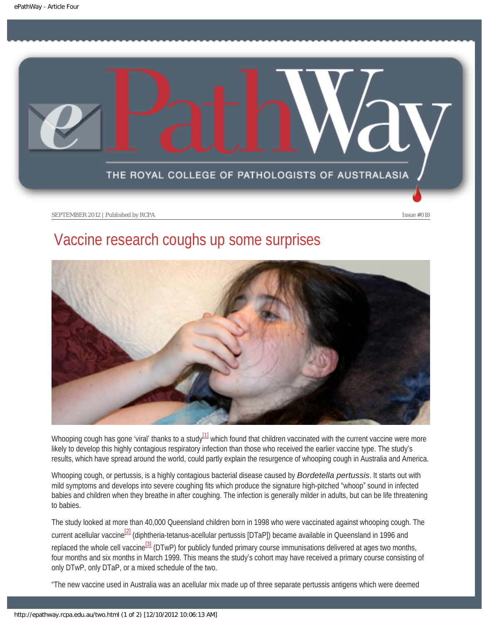<span id="page-5-0"></span>

SEPTEMBER 2012 | Published by RCPA **Issue #018** Issue #018

## Vaccine research coughs up some surprises



<span id="page-5-1"></span>Whooping cough has gone 'viral' thanks to a study $\frac{11}{2}$  which found that children vaccinated with the current vaccine were more likely to develop this highly contagious respiratory infection than those who received the earlier vaccine type. The study's results, which have spread around the world, could partly explain the resurgence of whooping cough in Australia and America.

Whooping cough, or pertussis, is a highly contagious bacterial disease caused by *Bordetella pertussis*. It starts out with mild symptoms and develops into severe coughing fits which produce the signature high-pitched "whoop" sound in infected babies and children when they breathe in after coughing. The infection is generally milder in adults, but can be life threatening to babies.

<span id="page-5-2"></span>The study looked at more than 40,000 Queensland children born in 1998 who were vaccinated against whooping cough. The current acellular vaccine<sup>[\[2\]](#page-6-1)</sup> (diphtheria-tetanus-acellular pertussis [DTaP]) became available in Queensland in 1996 and replaced the whole cell vaccine<sup>[\[3\]](#page-6-2)</sup> (DTwP) for publicly funded primary course immunisations delivered at ages two months, four months and six months in March 1999. This means the study's cohort may have received a primary course consisting of only DTwP, only DTaP, or a mixed schedule of the two.

<span id="page-5-3"></span>"The new vaccine used in Australia was an acellular mix made up of three separate pertussis antigens which were deemed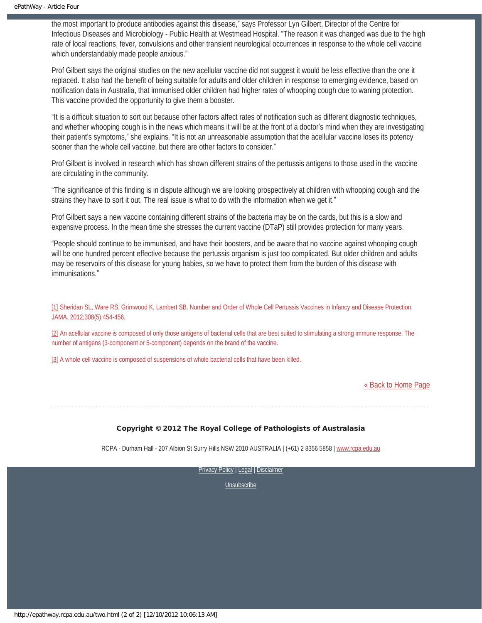the most important to produce antibodies against this disease," says Professor Lyn Gilbert, Director of the Centre for Infectious Diseases and Microbiology - Public Health at Westmead Hospital. "The reason it was changed was due to the high rate of local reactions, fever, convulsions and other transient neurological occurrences in response to the whole cell vaccine which understandably made people anxious."

Prof Gilbert says the original studies on the new acellular vaccine did not suggest it would be less effective than the one it replaced. It also had the benefit of being suitable for adults and older children in response to emerging evidence, based on notification data in Australia, that immunised older children had higher rates of whooping cough due to waning protection. This vaccine provided the opportunity to give them a booster.

"It is a difficult situation to sort out because other factors affect rates of notification such as different diagnostic techniques, and whether whooping cough is in the news which means it will be at the front of a doctor's mind when they are investigating their patient's symptoms," she explains. "It is not an unreasonable assumption that the acellular vaccine loses its potency sooner than the whole cell vaccine, but there are other factors to consider."

Prof Gilbert is involved in research which has shown different strains of the pertussis antigens to those used in the vaccine are circulating in the community.

"The significance of this finding is in dispute although we are looking prospectively at children with whooping cough and the strains they have to sort it out. The real issue is what to do with the information when we get it."

Prof Gilbert says a new vaccine containing different strains of the bacteria may be on the cards, but this is a slow and expensive process. In the mean time she stresses the current vaccine (DTaP) still provides protection for many years.

"People should continue to be immunised, and have their boosters, and be aware that no vaccine against whooping cough will be one hundred percent effective because the pertussis organism is just too complicated. But older children and adults may be reservoirs of this disease for young babies, so we have to protect them from the burden of this disease with immunisations."

<span id="page-6-0"></span>[\[1\]](#page-5-1) Sheridan SL, Ware RS, Grimwood K, Lambert SB. Number and Order of Whole Cell Pertussis Vaccines in Infancy and Disease Protection. JAMA. 2012;308(5):454-456.

<span id="page-6-1"></span>[\[2\]](#page-5-2) An acellular vaccine is composed of only those antigens of bacterial cells that are best suited to stimulating a strong immune response. The number of antigens (3-component or 5-component) depends on the brand of the vaccine.

<span id="page-6-2"></span>[\[3\]](#page-5-3) A whole cell vaccine is composed of suspensions of whole bacterial cells that have been killed.

#### [« Back to Home Page](http://epathway.rcpa.edu.au/index.html)

#### Copyright © 2012 The Royal College of Pathologists of Australasia

RCPA - Durham Hall - 207 Albion St Surry Hills NSW 2010 AUSTRALIA | (+61) 2 8356 5858 | [www.rcpa.edu.au](http://www.rcpa.edu.au/)

[Privacy Policy](http://www.rcpa.edu.au/Privacy.htm) | [Legal](http://www.rcpa.edu.au/Legal.htm) | Disclaimer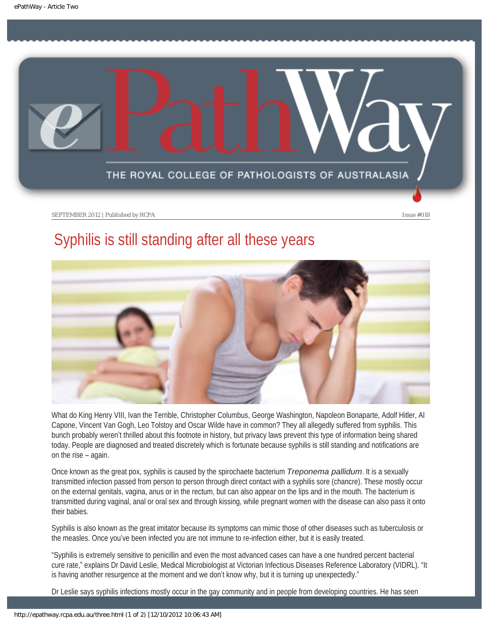<span id="page-7-0"></span>

SEPTEMBER 2012 | Published by RCPA **Issue #018** Issue #018

## Syphilis is still standing after all these years



What do King Henry VIII, Ivan the Terrible, Christopher Columbus, George Washington, Napoleon Bonaparte, Adolf Hitler, Al Capone, Vincent Van Gogh, Leo Tolstoy and Oscar Wilde have in common? They all allegedly suffered from syphilis. This bunch probably weren't thrilled about this footnote in history, but privacy laws prevent this type of information being shared today. People are diagnosed and treated discretely which is fortunate because syphilis is still standing and notifications are on the rise – again.

Once known as the great pox, syphilis is caused by the spirochaete bacterium *Treponema pallidum*. It is a sexually transmitted infection passed from person to person through direct contact with a syphilis sore (chancre). These mostly occur on the external genitals, vagina, anus or in the rectum, but can also appear on the lips and in the mouth. The bacterium is transmitted during vaginal, anal or oral sex and through kissing, while pregnant women with the disease can also pass it onto their babies.

Syphilis is also known as the great imitator because its symptoms can mimic those of other diseases such as tuberculosis or the measles. Once you've been infected you are not immune to re-infection either, but it is easily treated.

"Syphilis is extremely sensitive to penicillin and even the most advanced cases can have a one hundred percent bacterial cure rate," explains Dr David Leslie, Medical Microbiologist at Victorian Infectious Diseases Reference Laboratory (VIDRL). "It is having another resurgence at the moment and we don't know why, but it is turning up unexpectedly."

Dr Leslie says syphilis infections mostly occur in the gay community and in people from developing countries. He has seen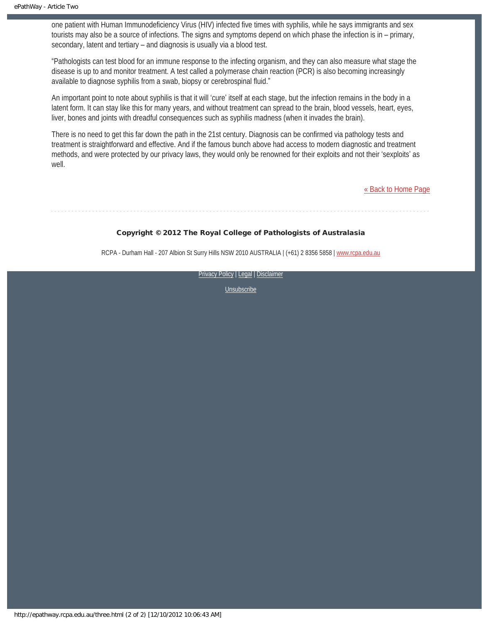one patient with Human Immunodeficiency Virus (HIV) infected five times with syphilis, while he says immigrants and sex tourists may also be a source of infections. The signs and symptoms depend on which phase the infection is in – primary, secondary, latent and tertiary – and diagnosis is usually via a blood test.

"Pathologists can test blood for an immune response to the infecting organism, and they can also measure what stage the disease is up to and monitor treatment. A test called a polymerase chain reaction (PCR) is also becoming increasingly available to diagnose syphilis from a swab, biopsy or cerebrospinal fluid."

An important point to note about syphilis is that it will 'cure' itself at each stage, but the infection remains in the body in a latent form. It can stay like this for many years, and without treatment can spread to the brain, blood vessels, heart, eyes, liver, bones and joints with dreadful consequences such as syphilis madness (when it invades the brain).

There is no need to get this far down the path in the 21st century. Diagnosis can be confirmed via pathology tests and treatment is straightforward and effective. And if the famous bunch above had access to modern diagnostic and treatment methods, and were protected by our privacy laws, they would only be renowned for their exploits and not their 'sexploits' as well.

[« Back to Home Page](http://epathway.rcpa.edu.au/index.html)

#### Copyright © 2012 The Royal College of Pathologists of Australasia

RCPA - Durham Hall - 207 Albion St Surry Hills NSW 2010 AUSTRALIA | (+61) 2 8356 5858 | [www.rcpa.edu.au](http://www.rcpa.edu.au/)

[Privacy Policy](http://www.rcpa.edu.au/Privacy.htm) | [Legal](http://www.rcpa.edu.au/Legal.htm) | Disclaimer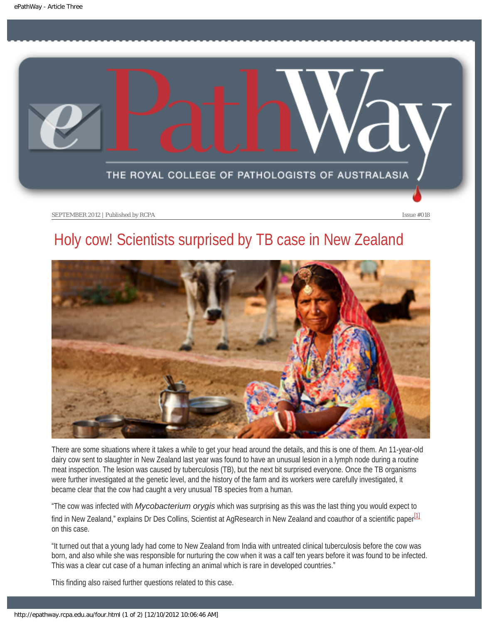<span id="page-9-0"></span>

SEPTEMBER 2012 | Published by RCPA **Issue #018** 

# Holy cow! Scientists surprised by TB case in New Zealand



There are some situations where it takes a while to get your head around the details, and this is one of them. An 11-year-old dairy cow sent to slaughter in New Zealand last year was found to have an unusual lesion in a lymph node during a routine meat inspection. The lesion was caused by tuberculosis (TB), but the next bit surprised everyone. Once the TB organisms were further investigated at the genetic level, and the history of the farm and its workers were carefully investigated, it became clear that the cow had caught a very unusual TB species from a human.

"The cow was infected with *Mycobacterium orygis* which was surprising as this was the last thing you would expect to find in New Zealand," explains Dr Des Collins, Scientist at AgResearch in New Zealand and coauthor of a scientific paper<sup>[1]</sup> on this case.

"It turned out that a young lady had come to New Zealand from India with untreated clinical tuberculosis before the cow was born, and also while she was responsible for nurturing the cow when it was a calf ten years before it was found to be infected. This was a clear cut case of a human infecting an animal which is rare in developed countries."

This finding also raised further questions related to this case.